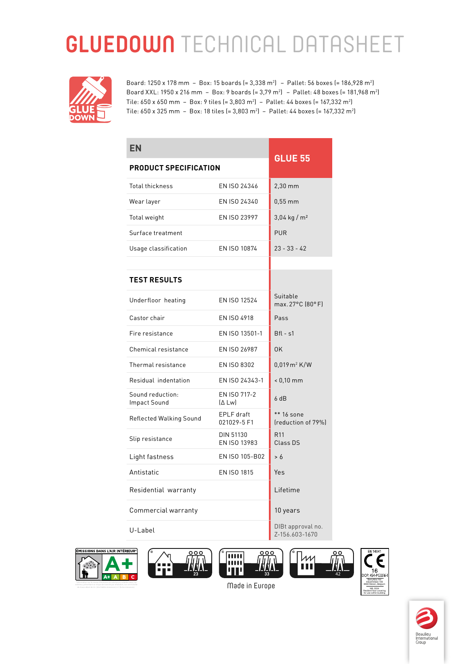## **GLUEDOWN** TECHNICAL DATASHEET



Board: 1250 x 178 mm - Box: 15 boards (= 3,338 m<sup>2</sup>) - Pallet: 56 boxes (= 186,928 m<sup>2</sup>) Board XXL: 1950 x 216 mm - Box: 9 boards (= 3,79 m<sup>2</sup>) - Pallet: 48 boxes (= 181,968 m<sup>2</sup>) Tile:  $650 \times 650$  mm - Box: 9 tiles (= 3,803 m<sup>2</sup>) - Pallet: 44 boxes (= 167,332 m<sup>2</sup>) Tile: 650 x 325 mm - Box: 18 tiles (= 3,803 m<sup>2</sup>) - Pallet: 44 boxes (= 167,332 m<sup>2</sup>)

| <b>EN</b>                        |                           | <b>GLUE 55</b>                        |
|----------------------------------|---------------------------|---------------------------------------|
| <b>PRODUCT SPECIFICATION</b>     |                           |                                       |
| Total thickness                  | EN ISO 24346              | $2,30$ mm                             |
| Wear layer                       | EN ISO 24340              | $0.55$ mm                             |
| Total weight                     | EN ISO 23997              | $3,04$ kg / m <sup>2</sup>            |
| Surface treatment                |                           | <b>PUR</b>                            |
| Usage classification             | EN ISO 10874              | $23 - 33 - 42$                        |
|                                  |                           |                                       |
| <b>TEST RESULTS</b>              |                           |                                       |
| Underfloor heating               | EN ISO 12524              | Suitable<br>max. 27°C (80°F)          |
| Castor chair                     | EN ISO 4918               | Pass                                  |
| Fire resistance                  | EN ISO 13501-1            | $Bf1 - s1$                            |
| Chemical resistance              | EN ISO 26987              | 0K                                    |
| Thermal resistance               | EN ISO 8302               | $0,019 \,\mathrm{m}^2 \,\mathrm{K/W}$ |
| Residual indentation             | EN ISO 24343-1            | $< 0,10$ mm                           |
| Sound reduction:<br>Impact Sound | EN ISO 717-2<br>[Δ Lw]    | 6dB                                   |
| Reflected Walking Sound          | EPLF draft<br>021029-5 F1 | ** 16 sone<br>(reduction of 79%)      |
| Slip resistance                  | DIN 51130<br>EN ISO 13983 | R <sub>11</sub><br>Class DS           |
| Light fastness                   | EN ISO 105-B02            | > 6                                   |
| Antistatic                       | <b>EN ISO 1815</b>        | Yes                                   |
| Residential warranty             |                           | Lifetime                              |
| Commercial warranty              |                           | 10 years                              |
| U-Label                          |                           | DIBt approval no.<br>Z-156.603-1670   |











**Made in Europe**